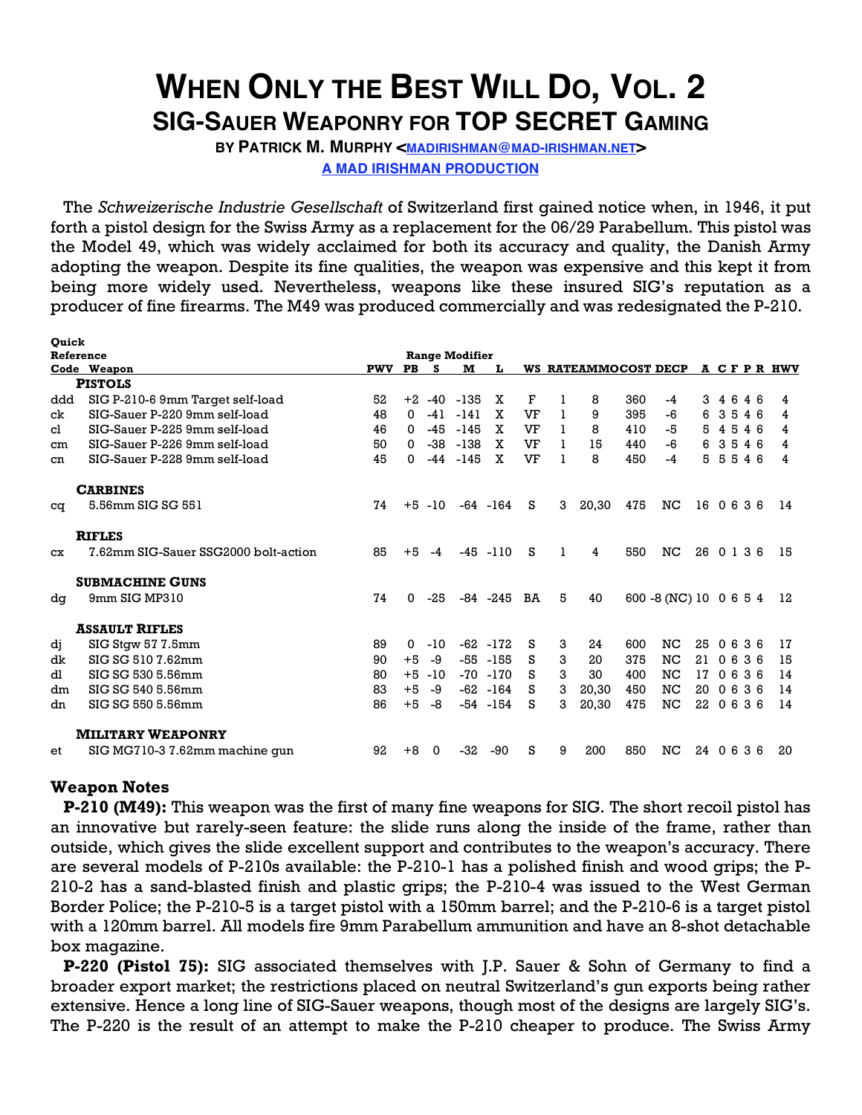## **WHEN ONLY THE BEST WILL DO, VOL. 2 SIG-SAUER WEAPONRY FOR TOP SECRET GAMING**

BY PATRICK M. MURPHY <**MADIRISHMAN@MAD-IRISHMAN.NET> A MAD IRISHMAN PRODUCTION**

The *Schweizerische Industrie Gesellschaft* of Switzerland first gained notice when, in 1946, it put forth a pistol design for the Swiss Army as a replacement for the 06/29 Parabellum. This pistol was the Model 49, which was widely acclaimed for both its accuracy and quality, the Danish Army adopting the weapon. Despite its fine qualities, the weapon was expensive and this kept it from being more widely used. Nevertheless, weapons like these insured SIG's reputation as a producer of fine firearms. The M49 was produced commercially and was redesignated the P-210.

| <b>Quick</b> |                                      |            |              |           |                       |             |    |   |                      |     |                        |            |  |            |            |
|--------------|--------------------------------------|------------|--------------|-----------|-----------------------|-------------|----|---|----------------------|-----|------------------------|------------|--|------------|------------|
| Reference    |                                      |            |              |           | <b>Range Modifier</b> |             |    |   |                      |     |                        |            |  |            |            |
|              | Code Weapon                          | <b>PWV</b> | <b>PB</b>    | -S        | м                     |             |    |   | WS RATEAMMOCOST DECP |     |                        |            |  |            | A CFPR HWV |
|              | <b>PISTOLS</b>                       |            |              |           |                       |             |    |   |                      |     |                        |            |  |            |            |
| ddd          | SIG P-210-6 9mm Target self-load     | 52         | $+2$         | $-40$     | -135                  | x           | F  |   | 8                    | 360 | -4                     | 3          |  | 4646       | 4          |
| ck           | SIG-Sauer P-220 9mm self-load        | 48         | $\mathbf{0}$ | $-41$     | $-141$                | x           | VF |   | 9                    | 395 | -6                     | 6          |  | 3546       | 4          |
| cl           | SIG-Sauer P-225 9mm self-load        | 46         | $\mathbf{0}$ | $-45$     | $-145$                | X           | VF |   | 8                    | 410 | -5                     | 5          |  | 4546       | 4          |
| cm           | SIG-Sauer P-226 9mm self-load        | 50         | $\Omega$     | $-38$     | $-138$                | x           | VF |   | 15                   | 440 | $-6$                   | 6          |  | 3546       | 4          |
| cn           | SIG-Sauer P-228 9mm self-load        | 45         | 0            | $-44$     | -145                  | X           | VF |   | 8                    | 450 | $-4$                   | 5          |  | 5546       | 4          |
|              | <b>CARBINES</b>                      |            |              |           |                       |             |    |   |                      |     |                        |            |  |            |            |
| cq           | 5.56mm SIG SG 551                    | 74         |              | $+5 - 10$ |                       | $-64 - 164$ | s  | 3 | 20,30                | 475 | NC                     |            |  | 16 0 6 3 6 | 14         |
|              | <b>RIFLES</b>                        |            |              |           |                       |             |    |   |                      |     |                        |            |  |            |            |
| CX           | 7.62mm SIG-Sauer SSG2000 bolt-action | 85         | $+5$         | $-4$      |                       | $-45 - 110$ | s  | 1 | 4                    | 550 | NC                     | 26 0 1 3 6 |  |            | 15         |
|              | <b>SUBMACHINE GUNS</b>               |            |              |           |                       |             |    |   |                      |     |                        |            |  |            |            |
| dq           | 9mm SIG MP310                        | 74         | 0            | -25       |                       | -84 -245    | BA | 5 | 40                   |     | 600 -8 (NC) 10 0 6 5 4 |            |  |            | 12         |
|              | <b>ASSAULT RIFLES</b>                |            |              |           |                       |             |    |   |                      |     |                        |            |  |            |            |
| dj           | SIG Stgw 57 7.5mm                    | 89         | 0            | -10       |                       | $-62 - 172$ | s  | 3 | 24                   | 600 | NC                     | 25         |  | 0636       | 17         |
| dk           | SIG SG 510 7.62mm                    | 90         | $+5$         | -9        |                       | $-55 - 155$ | s  | 3 | 20                   | 375 | NC                     | 21         |  | 0636       | 15         |
| dl           | SIG SG 530 5.56mm                    | 80         | $+5$         | $-10$     |                       | $-70 - 170$ | s  | 3 | 30                   | 400 | NC                     | 17         |  | 0636       | 14         |
| dm           | SIG SG 540 5.56mm                    | 83         | $+5$         | -9        |                       | $-62 - 164$ | s  | 3 | 20,30                | 450 | NC                     | 20         |  | 0636       | 14         |
| dn           | SIG SG 550 5.56mm                    | 86         | $+5$         | -8        |                       | $-54 - 154$ | s  | 3 | 20,30                | 475 | $_{\rm NC}$            | 22         |  | 0636       | 14         |
|              | <b>MILITARY WEAPONRY</b>             |            |              |           |                       |             |    |   |                      |     |                        |            |  |            |            |
| et           | SIG MG710-3 7.62mm machine gun       | 92         | $+8$         | 0         | -32                   | -90         | s  | 9 | 200                  | 850 | NC                     | 24 0 6 3 6 |  |            | 20         |

## **Weapon Notes**

**P-210 (M49):** This weapon was the first of many fine weapons for SIG. The short recoil pistol has an innovative but rarely-seen feature: the slide runs along the inside of the frame, rather than outside, which gives the slide excellent support and contributes to the weapon's accuracy. There are several models of P-210s available: the P-210-1 has a polished finish and wood grips; the P-210-2 has a sand-blasted finish and plastic grips; the P-210-4 was issued to the West German Border Police; the P-210-5 is a target pistol with a 150mm barrel; and the P-210-6 is a target pistol with a 120mm barrel. All models fire 9mm Parabellum ammunition and have an 8-shot detachable box magazine.

**P-220 (Pistol 75):** SIG associated themselves with J.P. Sauer & Sohn of Germany to find a broader export market; the restrictions placed on neutral Switzerland's gun exports being rather extensive. Hence a long line of SIG-Sauer weapons, though most of the designs are largely SIG's. The P-220 is the result of an attempt to make the P-210 cheaper to produce. The Swiss Army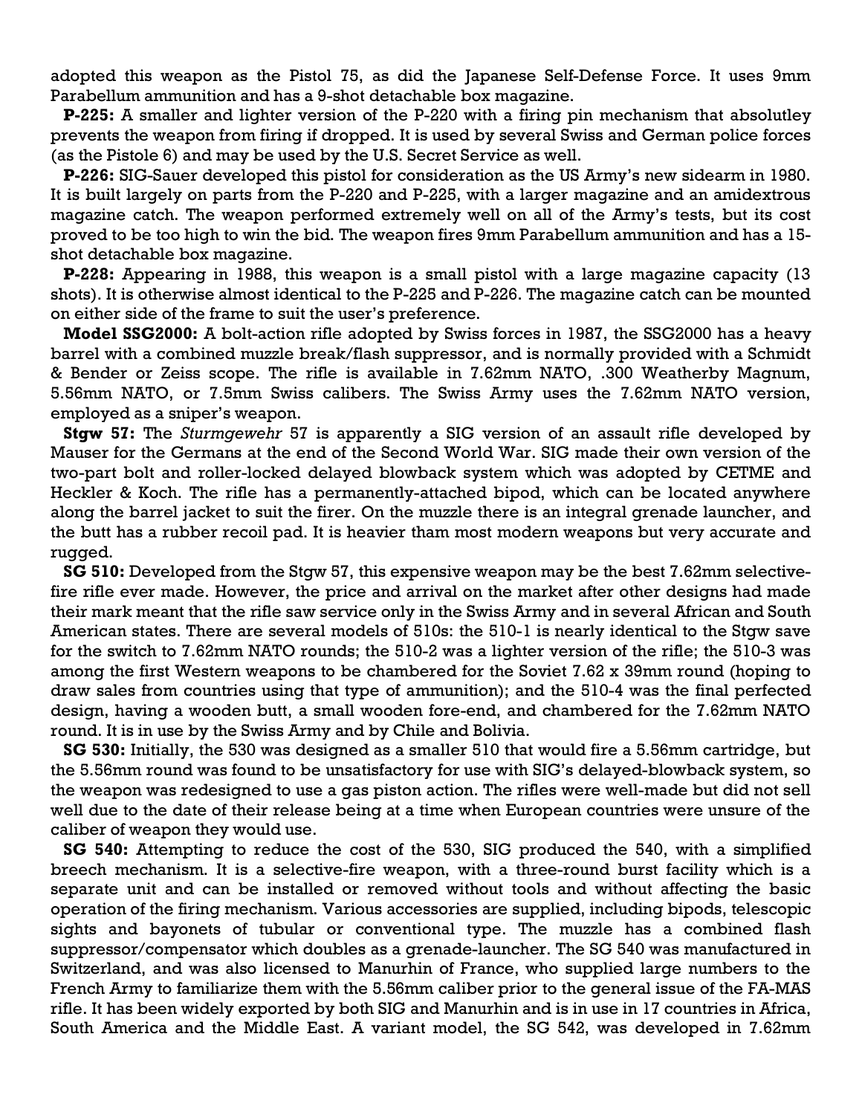adopted this weapon as the Pistol 75, as did the Japanese Self-Defense Force. It uses 9mm Parabellum ammunition and has a 9-shot detachable box magazine.

**P-225:** A smaller and lighter version of the P-220 with a firing pin mechanism that absolutley prevents the weapon from firing if dropped. It is used by several Swiss and German police forces (as the Pistole 6) and may be used by the U.S. Secret Service as well.

**P-226:** SIG-Sauer developed this pistol for consideration as the US Army's new sidearm in 1980. It is built largely on parts from the P-220 and P-225, with a larger magazine and an amidextrous magazine catch. The weapon performed extremely well on all of the Army's tests, but its cost proved to be too high to win the bid. The weapon fires 9mm Parabellum ammunition and has a 15 shot detachable box magazine.

**P-228:** Appearing in 1988, this weapon is a small pistol with a large magazine capacity (13 shots). It is otherwise almost identical to the P-225 and P-226. The magazine catch can be mounted on either side of the frame to suit the user's preference.

**Model SSG2000:** A bolt-action rifle adopted by Swiss forces in 1987, the SSG2000 has a heavy barrel with a combined muzzle break/flash suppressor, and is normally provided with a Schmidt & Bender or Zeiss scope. The rifle is available in 7.62mm NATO, .300 Weatherby Magnum, 5.56mm NATO, or 7.5mm Swiss calibers. The Swiss Army uses the 7.62mm NATO version, employed as a sniper's weapon.

**Stgw 57:** The *Sturmgewehr* 57 is apparently a SIG version of an assault rifle developed by Mauser for the Germans at the end of the Second World War. SIG made their own version of the two-part bolt and roller-locked delayed blowback system which was adopted by CETME and Heckler & Koch. The rifle has a permanently-attached bipod, which can be located anywhere along the barrel jacket to suit the firer. On the muzzle there is an integral grenade launcher, and the butt has a rubber recoil pad. It is heavier tham most modern weapons but very accurate and rugged.

**SG 510:** Developed from the Stgw 57, this expensive weapon may be the best 7.62mm selectivefire rifle ever made. However, the price and arrival on the market after other designs had made their mark meant that the rifle saw service only in the Swiss Army and in several African and South American states. There are several models of 510s: the 510-1 is nearly identical to the Stgw save for the switch to 7.62mm NATO rounds; the 510-2 was a lighter version of the rifle; the 510-3 was among the first Western weapons to be chambered for the Soviet 7.62 x 39mm round (hoping to draw sales from countries using that type of ammunition); and the 510-4 was the final perfected design, having a wooden butt, a small wooden fore-end, and chambered for the 7.62mm NATO round. It is in use by the Swiss Army and by Chile and Bolivia.

**SG 530:** Initially, the 530 was designed as a smaller 510 that would fire a 5.56mm cartridge, but the 5.56mm round was found to be unsatisfactory for use with SIG's delayed-blowback system, so the weapon was redesigned to use a gas piston action. The rifles were well-made but did not sell well due to the date of their release being at a time when European countries were unsure of the caliber of weapon they would use.

**SG 540:** Attempting to reduce the cost of the 530, SIG produced the 540, with a simplified breech mechanism. It is a selective-fire weapon, with a three-round burst facility which is a separate unit and can be installed or removed without tools and without affecting the basic operation of the firing mechanism. Various accessories are supplied, including bipods, telescopic sights and bayonets of tubular or conventional type. The muzzle has a combined flash suppressor/compensator which doubles as a grenade-launcher. The SG 540 was manufactured in Switzerland, and was also licensed to Manurhin of France, who supplied large numbers to the French Army to familiarize them with the 5.56mm caliber prior to the general issue of the FA-MAS rifle. It has been widely exported by both SIG and Manurhin and is in use in 17 countries in Africa, South America and the Middle East. A variant model, the SG 542, was developed in 7.62mm